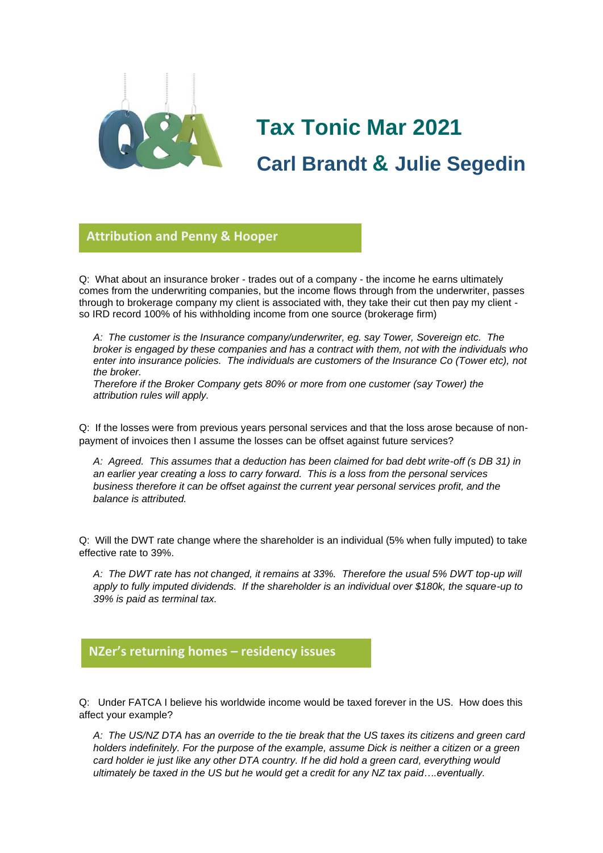

# **Tax Tonic Mar 2021 Carl Brandt & Julie Segedin**

#### **Attribution and Penny & Hooper**

Q: What about an insurance broker - trades out of a company - the income he earns ultimately **glorio**comes from the underwriting companies, but the income flows through from the underwriter, passes through to brokerage company my client is associated with, they take their cut then pay my client so IRD record 100% of his withholding income from one source (brokerage firm)

*A: The customer is the Insurance company/underwriter, eg. say Tower, Sovereign etc. The broker is engaged by these companies and has a contract with them, not with the individuals who enter into insurance policies. The individuals are customers of the Insurance Co (Tower etc), not the broker.*

*Therefore if the Broker Company gets 80% or more from one customer (say Tower) the attribution rules will apply.*

Q: If the losses were from previous years personal services and that the loss arose because of nonpayment of invoices then I assume the losses can be offset against future services?

*A: Agreed. This assumes that a deduction has been claimed for bad debt write-off (s DB 31) in an earlier year creating a loss to carry forward. This is a loss from the personal services business therefore it can be offset against the current year personal services profit, and the balance is attributed.*

Q: Will the DWT rate change where the shareholder is an individual (5% when fully imputed) to take effective rate to 39%.

*A: The DWT rate has not changed, it remains at 33%. Therefore the usual 5% DWT top-up will apply to fully imputed dividends. If the shareholder is an individual over \$180k, the square-up to 39% is paid as terminal tax.*

### **NZer's returning homes – residency issues**

Q: Under FATCA I believe his worldwide income would be taxed forever in the US. How does this affect your example?

*A: The US/NZ DTA has an override to the tie break that the US taxes its citizens and green card holders indefinitely. For the purpose of the example, assume Dick is neither a citizen or a green card holder ie just like any other DTA country. If he did hold a green card, everything would ultimately be taxed in the US but he would get a credit for any NZ tax paid….eventually.*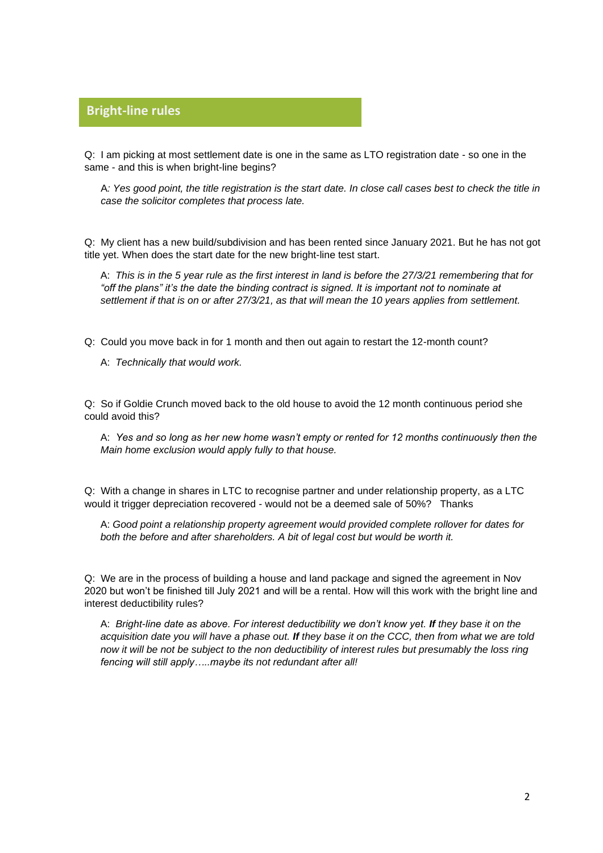## **Bright-line rules**

Q: I am picking at most settlement date is one in the same as LTO registration date - so one in the **glorio**same - and this is when bright-line begins?

A*: Yes good point, the title registration is the start date. In close call cases best to check the title in case the solicitor completes that process late.*

Q: My client has a new build/subdivision and has been rented since January 2021. But he has not got title yet. When does the start date for the new bright-line test start.

A: *This is in the 5 year rule as the first interest in land is before the 27/3/21 remembering that for "off the plans" it's the date the binding contract is signed. It is important not to nominate at settlement if that is on or after 27/3/21, as that will mean the 10 years applies from settlement.*

Q: Could you move back in for 1 month and then out again to restart the 12-month count?

A: *Technically that would work.*

Q: So if Goldie Crunch moved back to the old house to avoid the 12 month continuous period she could avoid this?

A: *Yes and so long as her new home wasn't empty or rented for 12 months continuously then the Main home exclusion would apply fully to that house.*

Q: With a change in shares in LTC to recognise partner and under relationship property, as a LTC would it trigger depreciation recovered - would not be a deemed sale of 50%? Thanks

A: *Good point a relationship property agreement would provided complete rollover for dates for*  both the before and after shareholders. A bit of legal cost but would be worth it.

Q: We are in the process of building a house and land package and signed the agreement in Nov 2020 but won't be finished till July 2021 and will be a rental. How will this work with the bright line and interest deductibility rules?

A: *Bright-line date as above. For interest deductibility we don't know yet. If they base it on the acquisition date you will have a phase out. If they base it on the CCC, then from what we are told now it will be not be subject to the non deductibility of interest rules but presumably the loss ring fencing will still apply…..maybe its not redundant after all!*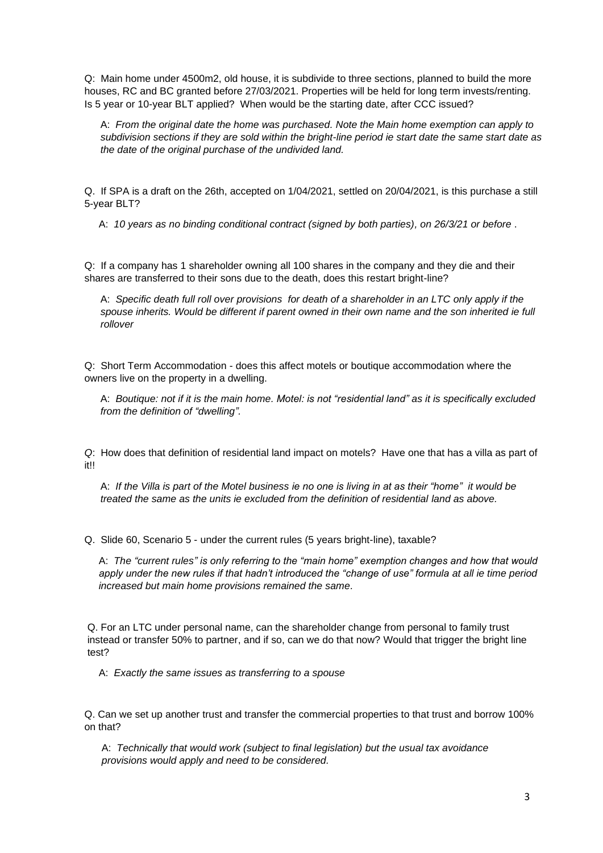Q: Main home under 4500m2, old house, it is subdivide to three sections, planned to build the more houses, RC and BC granted before 27/03/2021. Properties will be held for long term invests/renting. Is 5 year or 10-year BLT applied? When would be the starting date, after CCC issued?

A: *From the original date the home was purchased. Note the Main home exemption can apply to subdivision sections if they are sold within the bright-line period ie start date the same start date as the date of the original purchase of the undivided land.*

Q. If SPA is a draft on the 26th, accepted on 1/04/2021, settled on 20/04/2021, is this purchase a still 5-year BLT?

A: *10 years as no binding conditional contract (signed by both parties), on 26/3/21 or before* .

Q: If a company has 1 shareholder owning all 100 shares in the company and they die and their shares are transferred to their sons due to the death, does this restart bright-line?

A: *Specific death full roll over provisions for death of a shareholder in an LTC only apply if the spouse inherits. Would be different if parent owned in their own name and the son inherited ie full rollover*

Q: Short Term Accommodation - does this affect motels or boutique accommodation where the owners live on the property in a dwelling.

A: *Boutique: not if it is the main home. Motel: is not "residential land" as it is specifically excluded from the definition of "dwelling".*

*Q*: How does that definition of residential land impact on motels? Have one that has a villa as part of it!!

A: *If the Villa is part of the Motel business ie no one is living in at as their "home" it would be treated the same as the units ie excluded from the definition of residential land as above.* 

Q. Slide 60, Scenario 5 - under the current rules (5 years bright-line), taxable?

A: *The "current rules" is only referring to the "main home" exemption changes and how that would apply under the new rules if that hadn't introduced the "change of use" formula at all ie time period increased but main home provisions remained the same.*

Q. For an LTC under personal name, can the shareholder change from personal to family trust instead or transfer 50% to partner, and if so, can we do that now? Would that trigger the bright line test?

A: *Exactly the same issues as transferring to a spouse*

Q. Can we set up another trust and transfer the commercial properties to that trust and borrow 100% on that?

A: *Technically that would work (subject to final legislation) but the usual tax avoidance provisions would apply and need to be considered.*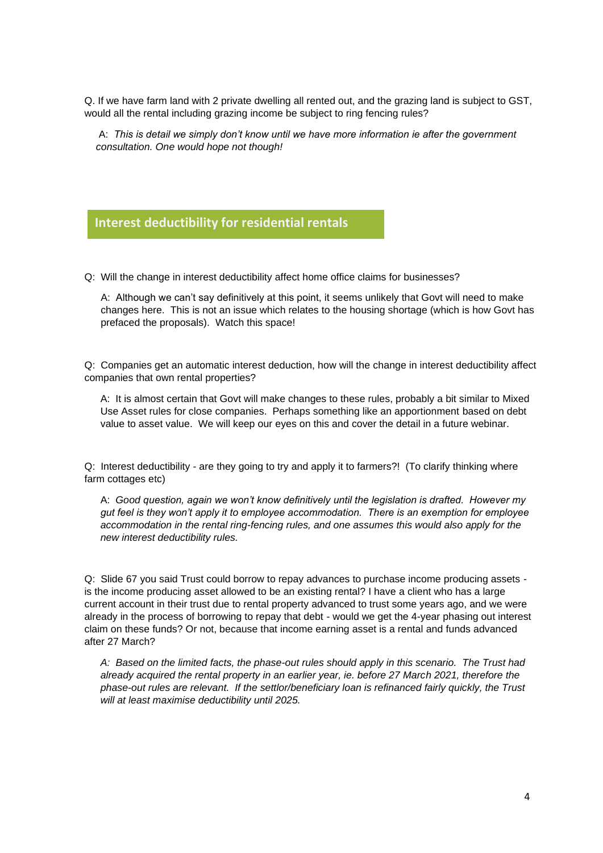Q. If we have farm land with 2 private dwelling all rented out, and the grazing land is subject to GST, would all the rental including grazing income be subject to ring fencing rules?

A: *This is detail we simply don't know until we have more information ie after the government consultation. One would hope not though!*

### **Interest deductibility for residential rentals**

Q: Will the change in interest deductibility affect home office claims for businesses?

A: Although we can't say definitively at this point, it seems unlikely that Govt will need to make changes here. This is not an issue which relates to the housing shortage (which is how Govt has prefaced the proposals). Watch this space!

Q: Companies get an automatic interest deduction, how will the change in interest deductibility affect companies that own rental properties?

A: It is almost certain that Govt will make changes to these rules, probably a bit similar to Mixed Use Asset rules for close companies. Perhaps something like an apportionment based on debt value to asset value. We will keep our eyes on this and cover the detail in a future webinar.

Q: Interest deductibility - are they going to try and apply it to farmers?! (To clarify thinking where farm cottages etc)

A: *Good question, again we won't know definitively until the legislation is drafted. However my gut feel is they won't apply it to employee accommodation. There is an exemption for employee accommodation in the rental ring-fencing rules, and one assumes this would also apply for the new interest deductibility rules.*

Q: Slide 67 you said Trust could borrow to repay advances to purchase income producing assets is the income producing asset allowed to be an existing rental? I have a client who has a large current account in their trust due to rental property advanced to trust some years ago, and we were already in the process of borrowing to repay that debt - would we get the 4-year phasing out interest claim on these funds? Or not, because that income earning asset is a rental and funds advanced after 27 March?

*A: Based on the limited facts, the phase-out rules should apply in this scenario. The Trust had already acquired the rental property in an earlier year, ie. before 27 March 2021, therefore the phase-out rules are relevant. If the settlor/beneficiary loan is refinanced fairly quickly, the Trust will at least maximise deductibility until 2025.*